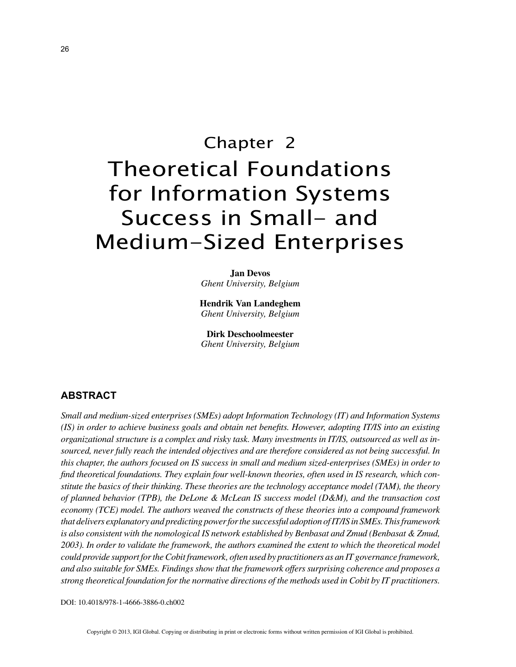# Chapter 2 Theoretical Foundations for Information Systems Success in Small- and Medium-Sized Enterprises

**Jan Devos** *Ghent University, Belgium*

**Hendrik Van Landeghem** *Ghent University, Belgium*

**Dirk Deschoolmeester** *Ghent University, Belgium*

#### **ABSTRACT**

*Small and medium-sized enterprises (SMEs) adopt Information Technology (IT) and Information Systems (IS) in order to achieve business goals and obtain net benefits. However, adopting IT/IS into an existing organizational structure is a complex and risky task. Many investments in IT/IS, outsourced as well as insourced, never fully reach the intended objectives and are therefore considered as not being successful. In this chapter, the authors focused on IS success in small and medium sized-enterprises (SMEs) in order to find theoretical foundations. They explain four well-known theories, often used in IS research, which constitute the basics of their thinking. These theories are the technology acceptance model (TAM), the theory of planned behavior (TPB), the DeLone & McLean IS success model (D&M), and the transaction cost economy (TCE) model. The authors weaved the constructs of these theories into a compound framework that delivers explanatory and predicting power for the successful adoption of IT/IS in SMEs. This framework is also consistent with the nomological IS network established by Benbasat and Zmud (Benbasat & Zmud, 2003). In order to validate the framework, the authors examined the extent to which the theoretical model could provide support for the Cobit framework, often used by practitioners as an IT governance framework, and also suitable for SMEs. Findings show that the framework offers surprising coherence and proposes a strong theoretical foundation for the normative directions of the methods used in Cobit by IT practitioners.*

DOI: 10.4018/978-1-4666-3886-0.ch002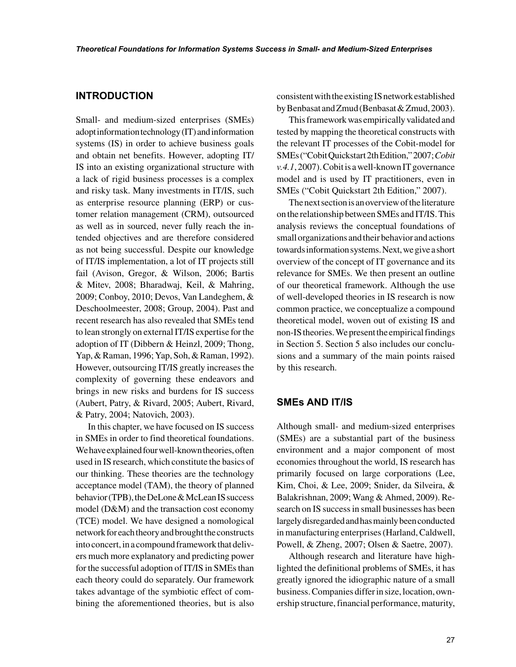### **INTRODUCTION**

Small- and medium-sized enterprises (SMEs) adopt information technology (IT) and information systems (IS) in order to achieve business goals and obtain net benefits. However, adopting IT/ IS into an existing organizational structure with a lack of rigid business processes is a complex and risky task. Many investments in IT/IS, such as enterprise resource planning (ERP) or customer relation management (CRM), outsourced as well as in sourced, never fully reach the intended objectives and are therefore considered as not being successful. Despite our knowledge of IT/IS implementation, a lot of IT projects still fail (Avison, Gregor, & Wilson, 2006; Bartis & Mitev, 2008; Bharadwaj, Keil, & Mahring, 2009; Conboy, 2010; Devos, Van Landeghem, & Deschoolmeester, 2008; Group, 2004). Past and recent research has also revealed that SMEs tend to lean strongly on external IT/IS expertise for the adoption of IT (Dibbern & Heinzl, 2009; Thong, Yap, & Raman, 1996; Yap, Soh, & Raman, 1992). However, outsourcing IT/IS greatly increases the complexity of governing these endeavors and brings in new risks and burdens for IS success (Aubert, Patry, & Rivard, 2005; Aubert, Rivard, & Patry, 2004; Natovich, 2003).

In this chapter, we have focused on IS success in SMEs in order to find theoretical foundations. We have explained four well-known theories, often used in IS research, which constitute the basics of our thinking. These theories are the technology acceptance model (TAM), the theory of planned behavior (TPB), the DeLone & McLean IS success model (D&M) and the transaction cost economy (TCE) model. We have designed a nomological network for each theory and brought the constructs into concert, in a compound framework that delivers much more explanatory and predicting power for the successful adoption of IT/IS in SMEs than each theory could do separately. Our framework takes advantage of the symbiotic effect of combining the aforementioned theories, but is also

consistent with the existing IS network established by Benbasat and Zmud (Benbasat & Zmud, 2003).

This framework was empirically validated and tested by mapping the theoretical constructs with the relevant IT processes of the Cobit-model for SMEs ("Cobit Quickstart 2th Edition," 2007; *Cobit v.4.1*, 2007). Cobit is a well-known IT governance model and is used by IT practitioners, even in SMEs ("Cobit Quickstart 2th Edition," 2007).

The next section is an overview of the literature on the relationship between SMEs and IT/IS. This analysis reviews the conceptual foundations of small organizations and their behavior and actions towards information systems. Next, we give a short overview of the concept of IT governance and its relevance for SMEs. We then present an outline of our theoretical framework. Although the use of well-developed theories in IS research is now common practice, we conceptualize a compound theoretical model, woven out of existing IS and non-IS theories. We present the empirical findings in Section 5. Section 5 also includes our conclusions and a summary of the main points raised by this research.

## **SMEs AND IT/IS**

Although small- and medium-sized enterprises (SMEs) are a substantial part of the business environment and a major component of most economies throughout the world, IS research has primarily focused on large corporations (Lee, Kim, Choi, & Lee, 2009; Snider, da Silveira, & Balakrishnan, 2009; Wang & Ahmed, 2009). Research on IS success in small businesses has been largely disregarded and has mainly been conducted in manufacturing enterprises (Harland, Caldwell, Powell, & Zheng, 2007; Olsen & Saetre, 2007).

Although research and literature have highlighted the definitional problems of SMEs, it has greatly ignored the idiographic nature of a small business. Companies differ in size, location, ownership structure, financial performance, maturity,